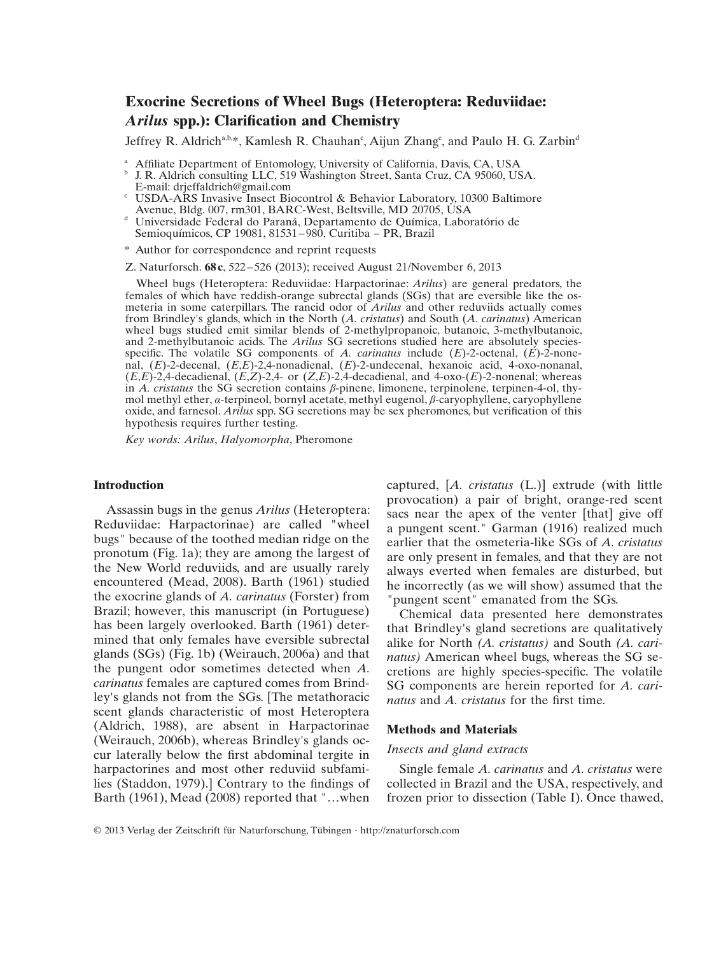# **Exocrine Secretions of Wheel Bugs (Heteroptera: Reduviidae: Arilus spp.): Clarification and Chemistry**

Jeffrey R. Aldrich<sup>a,b,\*</sup>, Kamlesh R. Chauhan<sup>c</sup>, Aijun Zhang<sup>c</sup>, and Paulo H. G. Zarbin<sup>d</sup>

- 
- <sup>a</sup> Affiliate Department of Entomology, University of California, Davis, CA, USA b J. R. Aldrich consulting LLC, 519 Washington Street, Santa Cruz, CA 95060, USA. E-mail: drieffaldrich@gmail.com
- <sup>e</sup> USDA-ARS Invasive Insect Biocontrol & Behavior Laboratory, 10300 Baltimore<br>Avenue. Bldg. 007. rm301. BARC-West. Beltsville. MD 20705. USA
- <sup>d</sup> Universidade Federal do Paraná, Departamento de Química, Laboratório de Semioquímicos, CP 19081, 81531 – 980, Curitiba – PR, Brazil
- \* Author for correspondence and reprint requests

Z. Naturforsch. **68 c**, 522 – 526 (2013); received August 21/November 6, 2013

Wheel bugs (Heteroptera: Reduviidae: Harpactorinae: *Arilus*) are general predators, the females of which have reddish-orange subrectal glands (SGs) that are eversible like the osmeteria in some caterpillars. The rancid odor of *Arilus* and other reduviids actually comes from Brindley's glands, which in the North (*A. cristatus*) and South (*A. carinatus*) American wheel bugs studied emit similar blends of 2-methylpropanoic, butanoic, 3-methylbutanoic, and 2-methylbutanoic acids. The *Arilus* SG secretions studied here are absolutely speciesspecific. The volatile SG components of *A. carinatus* include  $(E)$ -2-octenal,  $(E)$ -2-nonenal, (*E*)-2-decenal, (*E*,*E*)-2,4-nonadienal, (*E*)-2-undecenal, hexanoic acid, 4-oxo-nonanal,  $(E,E)$ -2,4-decadienal,  $(E,Z)$ -2,4- or  $(Z,E)$ -2,4-decadienal, and 4-oxo- $(E)$ -2-nonenal; whereas in *A. cristatus* the SG secretion contains *β*-pinene, limonene, terpinolene, terpinen-4-ol, thymol methyl ether, *α*-terpineol, bornyl acetate, methyl eugenol, *β*-caryophyllene, caryophyllene oxide, and farnesol. *Arilus* spp. SG secretions may be sex pheromones, but verification of this hypothesis requires further testing.

*Key words: Arilus*, *Halyomorpha*, Pheromone

## **Introduction**

Assassin bugs in the genus *Arilus* (Heteroptera: Reduviidae: Harpactorinae) are called "wheel bugs" because of the toothed median ridge on the pronotum (Fig. 1a); they are among the largest of the New World reduviids, and are usually rarely encountered (Mead, 2008). Barth (1961) studied the exocrine glands of *A. carinatus* (Forster) from Brazil; however, this manuscript (in Portuguese) has been largely overlooked. Barth (1961) determined that only females have eversible subrectal glands (SGs) (Fig. 1b) (Weirauch, 2006a) and that the pungent odor sometimes detected when *A. carinatus* females are captured comes from Brindley's glands not from the SGs. [The metathoracic scent glands characteristic of most Heteroptera (Aldrich, 1988), are absent in Harpactorinae (Weirauch, 2006b), whereas Brindley's glands occur laterally below the first abdominal tergite in harpactorines and most other reduviid subfamilies (Staddon, 1979).] Contrary to the findings of Barth (1961), Mead (2008) reported that "…when

captured, [*A. cristatus* (L.)] extrude (with little provocation) a pair of bright, orange-red scent sacs near the apex of the venter [that] give off a pungent scent." Garman (1916) realized much earlier that the osmeteria-like SGs of *A. cristatus* are only present in females, and that they are not always everted when females are disturbed, but he incorrectly (as we will show) assumed that the "pungent scent" emanated from the SGs.

Chemical data presented here demonstrates that Brindley's gland secretions are qualitatively alike for North *(A. cristatus)* and South *(A. carinatus)* American wheel bugs, whereas the SG secretions are highly species-specific. The volatile SG components are herein reported for *A. carinatus* and *A. cristatus* for the first time.

#### **Methods and Materials**

#### *Insects and gland extracts*

Single female *A. carinatus* and *A. cristatus* were collected in Brazil and the USA, respectively, and frozen prior to dissection (Table I). Once thawed,

© 2013 Verlag der Zeitschrift für Naturforschung, Tübingen · http://znaturforsch.com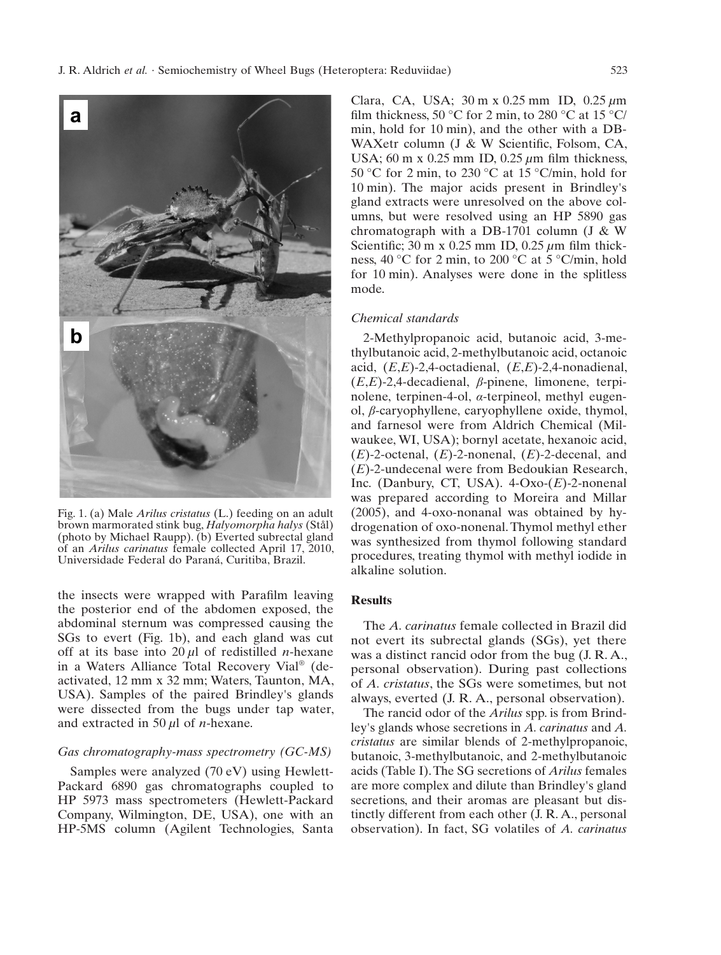

Fig. 1. (a) Male *Arilus cristatus* (L.) feeding on an adult brown marmorated stink bug, *Halyomorpha halys* (Stål) (photo by Michael Raupp). (b) Everted subrectal gland of an *Arilus carinatus* female collected April 17, 2010, Universidade Federal do Paraná, Curitiba, Brazil.

the insects were wrapped with Parafilm leaving the posterior end of the abdomen exposed, the abdominal sternum was compressed causing the SGs to evert (Fig. 1b), and each gland was cut off at its base into 20 *μ*l of redistilled *n*-hexane in a Waters Alliance Total Recovery Vial® (deactivated, 12 mm x 32 mm; Waters, Taunton, MA, USA). Samples of the paired Brindley's glands were dissected from the bugs under tap water, and extracted in 50 *μ*l of *n*-hexane.

### *Gas chromatography-mass spectrometry (GC-MS)*

Samples were analyzed (70 eV) using Hewlett-Packard 6890 gas chromatographs coupled to HP 5973 mass spectrometers (Hewlett-Packard Company, Wilmington, DE, USA), one with an HP-5MS column (Agilent Technologies, Santa Clara, CA, USA; 30 m x 0.25 mm ID, 0.25 *μ*m film thickness, 50 °C for 2 min, to 280 °C at 15 °C/ min, hold for 10 min), and the other with a DB-WAXetr column (J & W Scientific, Folsom, CA, USA; 60 m x 0.25 mm ID, 0.25 μm film thickness, 50 °C for 2 min, to 230 °C at 15 °C/min, hold for 10 min). The major acids present in Brindley's gland extracts were unresolved on the above columns, but were resolved using an HP 5890 gas chromatograph with a DB-1701 column (J & W Scientific; 30 m x 0.25 mm ID, 0.25 μm film thickness, 40 °C for 2 min, to 200 °C at 5 °C/min, hold for 10 min). Analyses were done in the splitless mode.

### *Chemical standards*

2-Methylpropanoic acid, butanoic acid, 3-methylbutanoic acid, 2-methylbutanoic acid, octanoic acid, (*E*,*E*)-2,4-octadienal, (*E*,*E*)-2,4-nonadienal, (*E*,*E*)-2,4-decadienal, *β*-pinene, limonene, terpinolene, terpinen-4-ol, *α*-terpineol, methyl eugenol, *β*-caryophyllene, caryophyllene oxide, thymol, and farnesol were from Aldrich Chemical (Milwaukee, WI, USA); bornyl acetate, hexanoic acid, (*E*)-2-octenal, (*E*)-2-nonenal, (*E*)-2-decenal, and (*E*)-2-undecenal were from Bedoukian Research, Inc. (Danbury, CT, USA). 4-Oxo-(*E*)-2-nonenal was prepared according to Moreira and Millar (2005), and 4-oxo-nonanal was obtained by hydrogenation of oxo-nonenal. Thymol methyl ether was synthesized from thymol following standard procedures, treating thymol with methyl iodide in alkaline solution.

## **Results**

The *A. carinatus* female collected in Brazil did not evert its subrectal glands (SGs), yet there was a distinct rancid odor from the bug (J. R. A., personal observation). During past collections of *A. cristatus*, the SGs were sometimes, but not always, everted (J. R. A., personal observation).

The rancid odor of the *Arilus* spp. is from Brindley's glands whose secretions in *A. carinatus* and *A. cristatus* are similar blends of 2-methylpropanoic, butanoic, 3-methylbutanoic, and 2-methylbutanoic acids (Table I). The SG secretions of *Arilus* females are more complex and dilute than Brindley's gland secretions, and their aromas are pleasant but distinctly different from each other (J. R. A., personal observation). In fact, SG volatiles of *A. carinatus*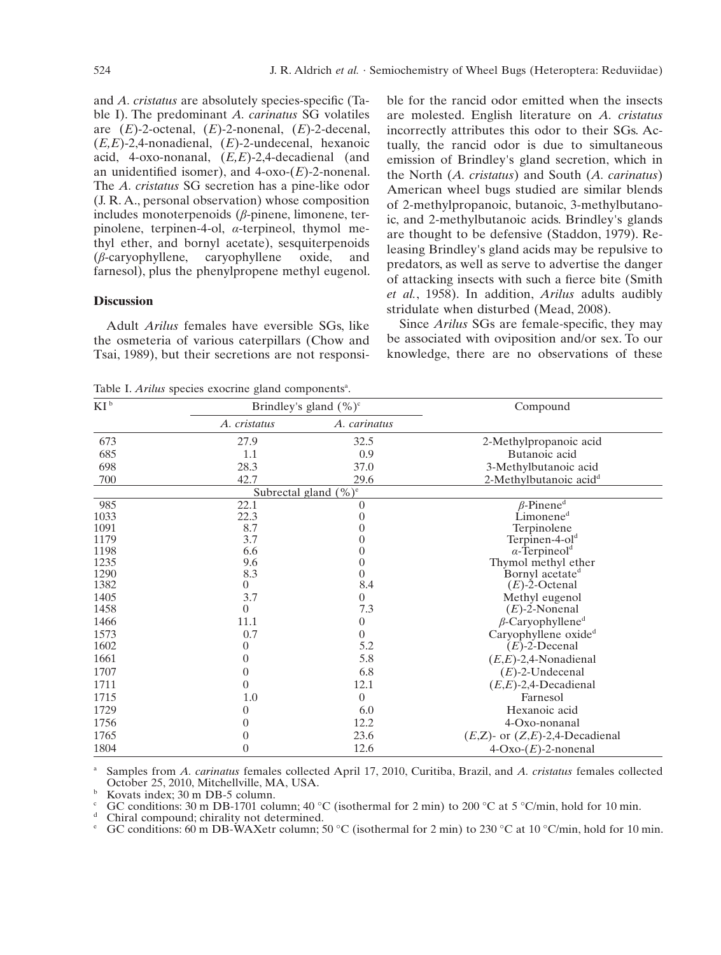and *A. cristatus* are absolutely species-specific (Table I). The predominant *A. carinatus* SG volatiles are (*E*)-2-octenal, (*E*)-2-nonenal, (*E*)-2-decenal, (*E,E*)-2,4-nonadienal, (*E*)-2-undecenal, hexanoic acid, 4-oxo-nonanal, (*E,E*)-2,4-decadienal (and an unidentified isomer), and  $4$ -oxo- $(E)$ -2-nonenal. The *A. cristatus* SG secretion has a pine-like odor (J. R. A., personal observation) whose composition includes monoterpenoids (*β*-pinene, limonene, terpinolene, terpinen-4-ol, *α*-terpineol, thymol methyl ether, and bornyl acetate), sesquiterpenoids  $(\beta$ -caryophyllene, caryophyllene oxide, and (*β*-caryophyllene, caryophyllene oxide, and farnesol), plus the phenylpropene methyl eugenol.

### **Discussion**

Adult *Arilus* females have eversible SGs, like the osmeteria of various caterpillars (Chow and Tsai, 1989), but their secretions are not responsible for the rancid odor emitted when the insects are molested. English literature on *A. cristatus* incorrectly attributes this odor to their SGs. Actually, the rancid odor is due to simultaneous emission of Brindley's gland secretion, which in the North (*A. cristatus*) and South (*A. carinatus*) American wheel bugs studied are similar blends of 2-methylpropanoic, butanoic, 3-methylbutanoic, and 2-methylbutanoic acids. Brindley's glands are thought to be defensive (Staddon, 1979). Releasing Brindley's gland acids may be repulsive to predators, as well as serve to advertise the danger of attacking insects with such a fierce bite (Smith) *et al.*, 1958). In addition, *Arilus* adults audibly stridulate when disturbed (Mead, 2008).

Since *Arilus* SGs are female-specific, they may be associated with oviposition and/or sex. To our knowledge, there are no observations of these

Table I. *Arilus* species exocrine gland componentsa

| $KI^b$ | Brindley's gland $(\%)^c$ |                          | Compound                             |
|--------|---------------------------|--------------------------|--------------------------------------|
|        | A. cristatus              | A. carinatus             |                                      |
| 673    | 27.9                      | 32.5                     | 2-Methylpropanoic acid               |
| 685    | 1.1                       | 0.9                      | Butanoic acid                        |
| 698    | 28.3                      | 37.0                     | 3-Methylbutanoic acid                |
| 700    | 42.7                      | 29.6                     | 2-Methylbutanoic acid <sup>d</sup>   |
|        |                           | Subrectal gland $(\%)^e$ |                                      |
| 985    | 22.1                      | $\overline{0}$           | $\beta$ -Pinene <sup>d</sup>         |
| 1033   | 22.3                      | $\theta$                 | Limonene <sup>d</sup>                |
| 1091   | 8.7                       | $\theta$                 | Terpinolene                          |
| 1179   | 3.7                       | 0                        | Terpinen-4- $old$                    |
| 1198   | 6.6                       | $\theta$                 | $\alpha$ -Terpineol <sup>d</sup>     |
| 1235   | 9.6                       | 0                        | Thymol methyl ether                  |
| 1290   | 8.3                       | 0                        | Bornyl acetate <sup>d</sup>          |
| 1382   | $\overline{0}$            | 8.4                      | $(E)$ -2-Octenal                     |
| 1405   | 3.7                       | $\overline{0}$           | Methyl eugenol                       |
| 1458   | $\overline{0}$            | 7.3                      | $(E)$ -2-Nonenal                     |
| 1466   | 11.1                      | $\overline{0}$           | $\beta$ -Caryophyllene <sup>d</sup>  |
| 1573   | 0.7                       | $\overline{0}$           | Caryophyllene oxide <sup>d</sup>     |
| 1602   | 0                         | 5.2                      | $(E)$ -2-Decenal                     |
| 1661   | 0                         | 5.8                      | $(E,E)$ -2,4-Nonadienal              |
| 1707   | 0                         | 6.8                      | $(E)$ -2-Undecenal                   |
| 1711   | $\overline{0}$            | 12.1                     | $(E,E)$ -2,4-Decadienal              |
| 1715   | 1.0                       | $\theta$                 | Farnesol                             |
| 1729   | 0                         | 6.0                      | Hexanoic acid                        |
| 1756   | 0                         | 12.2                     | 4-Oxo-nonanal                        |
| 1765   | 0                         | 23.6                     | $(E,Z)$ - or $(Z,E)$ -2,4-Decadienal |
| 1804   | 0                         | 12.6                     | $4$ -Oxo- $(E)$ -2-nonenal           |

Samples from *A. carinatus* females collected April 17, 2010, Curitiba, Brazil, and *A. cristatus* females collected October 25, 2010, Mitchellville, MA, USA.

Exercise index; 30 m DB-5 column.<br>
GC conditions: 30 m DB-1701 column; 40 °C (isothermal for 2 min) to 200 °C at 5 °C/min, hold for 10 min.<br>
d Chiral compound; chirality not determined.<br>
e GC conditions: 60 m DB-WAXetr co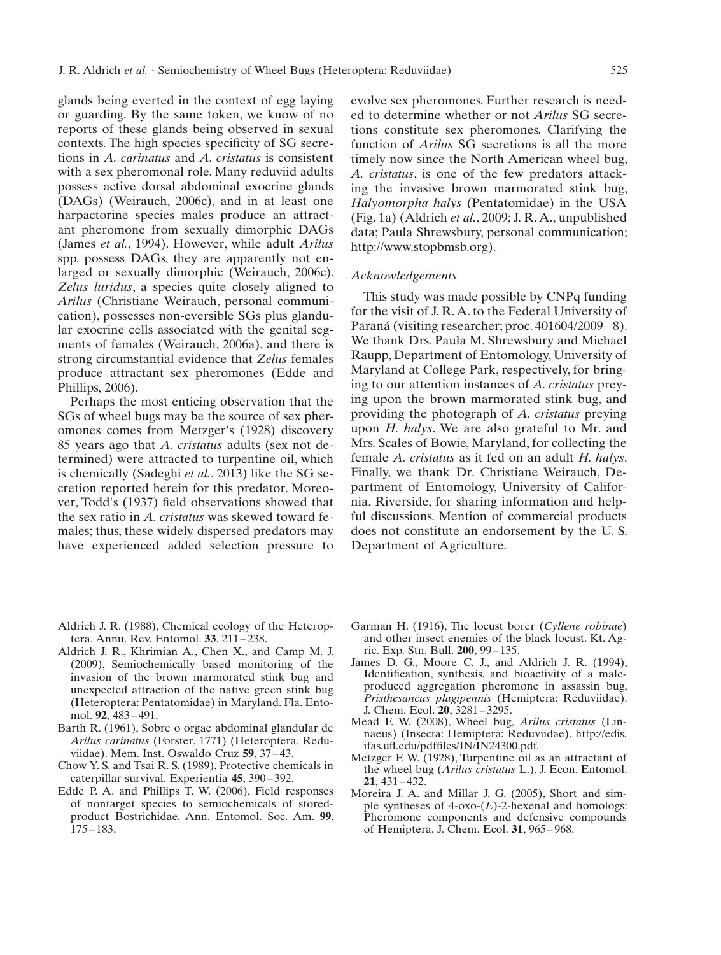glands being everted in the context of egg laying or guarding. By the same token, we know of no reports of these glands being observed in sexual contexts. The high species specificity of SG secretions in *A. carinatus* and *A. cristatus* is consistent with a sex pheromonal role. Many reduviid adults possess active dorsal abdominal exocrine glands (DAGs) (Weirauch, 2006c), and in at least one harpactorine species males produce an attractant pheromone from sexually dimorphic DAGs (James *et al.*, 1994). However, while adult *Arilus* spp. possess DAGs, they are apparently not enlarged or sexually dimorphic (Weirauch, 2006c). *Zelus luridus*, a species quite closely aligned to *Arilus* (Christiane Weirauch, personal communication), possesses non-eversible SGs plus glandular exocrine cells associated with the genital segments of females (Weirauch, 2006a), and there is strong circumstantial evidence that *Zelus* females produce attractant sex pheromones (Edde and Phillips, 2006).

Perhaps the most enticing observation that the SGs of wheel bugs may be the source of sex pheromones comes from Metzger's (1928) discovery 85 years ago that *A. cristatus* adults (sex not determined) were attracted to turpentine oil, which is chemically (Sadeghi *et al.*, 2013) like the SG secretion reported herein for this predator. Moreover, Todd's (1937) field observations showed that the sex ratio in *A. cristatus* was skewed toward females; thus, these widely dispersed predators may have experienced added selection pressure to

evolve sex pheromones. Further research is needed to determine whether or not *Arilus* SG secretions constitute sex pheromones. Clarifying the function of *Arilus* SG secretions is all the more timely now since the North American wheel bug, *A. cristatus*, is one of the few predators attacking the invasive brown marmorated stink bug, *Halyomorpha halys* (Pentatomidae) in the USA (Fig. 1a) (Aldrich *et al.*, 2009; J. R. A., unpublished data; Paula Shrewsbury, personal communication; http://www.stopbmsb.org).

#### *Acknowledgements*

This study was made possible by CNPq funding for the visit of J. R. A. to the Federal University of Paraná (visiting researcher; proc. 401604/2009-8). We thank Drs. Paula M. Shrewsbury and Michael Raupp, Department of Entomology, University of Maryland at College Park, respectively, for bringing to our attention instances of *A. cristatus* preying upon the brown marmorated stink bug, and providing the photograph of *A. cristatus* preying upon *H. halys*. We are also grateful to Mr. and Mrs. Scales of Bowie, Maryland, for collecting the female *A. cristatus* as it fed on an adult *H. halys*. Finally, we thank Dr. Christiane Weirauch, Department of Entomology, University of California, Riverside, for sharing information and helpful discussions. Mention of commercial products does not constitute an endorsement by the U. S. Department of Agriculture.

- Aldrich J. R. (1988), Chemical ecology of the Heteroptera. Annu. Rev. Entomol. **33**, 211 – 238.
- Aldrich J. R., Khrimian A., Chen X., and Camp M. J. (2009), Semiochemically based monitoring of the invasion of the brown marmorated stink bug and unexpected attraction of the native green stink bug (Heteroptera: Pentatomidae) in Maryland. Fla. Entomol. **92**, 483 – 491.
- Barth R. (1961), Sobre o orgae abdominal glandular de *Arilus carinatus* (Forster, 1771) (Heteroptera, Reduviidae). Mem. Inst. Oswaldo Cruz **59**, 37 – 43.
- Chow Y. S. and Tsai R. S. (1989), Protective chemicals in caterpillar survival. Experientia **45**, 390 – 392.
- Edde P. A. and Phillips T. W. (2006), Field responses of nontarget species to semiochemicals of storedproduct Bostrichidae. Ann. Entomol. Soc. Am. **99**, 175 – 183.
- Garman H. (1916), The locust borer (*Cyllene robinae*) and other insect enemies of the black locust. Kt. Agric. Exp. Stn. Bull. **200**, 99 – 135.
- James D. G., Moore C. J., and Aldrich J. R. (1994), Identification, synthesis, and bioactivity of a maleproduced aggregation pheromone in assassin bug, *Pristhesancus plagipennis* (Hemiptera: Reduviidae). J. Chem. Ecol. **20**, 3281 – 3295.
- Mead F. W. (2008), Wheel bug, *Arilus cristatus* (Linnaeus) (Insecta: Hemiptera: Reduviidae). http://edis. ifas.ufl.edu/pdffiles/IN/IN24300.pdf.
- Metzger F. W. (1928), Turpentine oil as an attractant of the wheel bug (*Arilus cristatus* L.). J. Econ. Entomol. **21**, 431 – 432.
- Moreira J. A. and Millar J. G. (2005), Short and simple syntheses of  $4$ -oxo- $(E)$ -2-hexenal and homologs: Pheromone components and defensive compounds of Hemiptera. J. Chem. Ecol. **31**, 965 – 968.